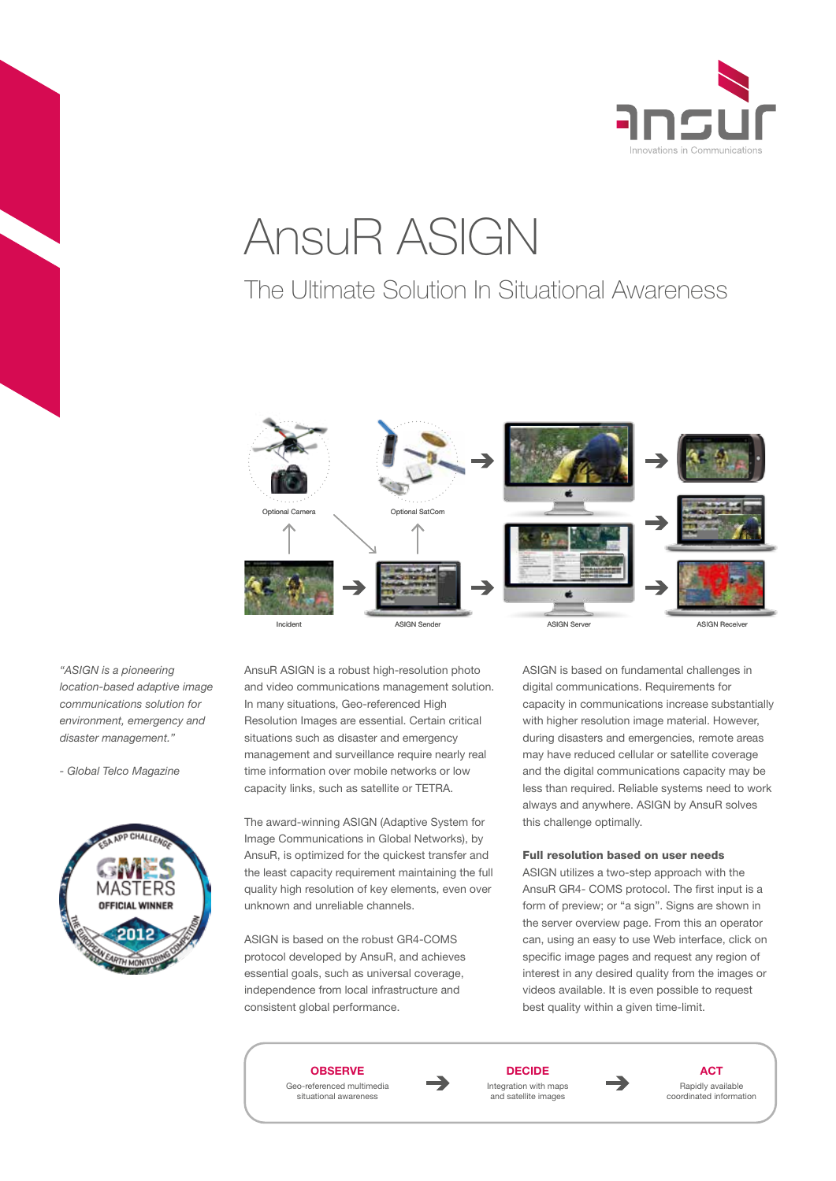

# AnsuR ASIGN

# The Ultimate Solution In Situational Awareness



*"ASIGN is a pioneering location-based adaptive image communications solution for environment, emergency and disaster management."*

*- Global Telco Magazine*



AnsuR ASIGN is a robust high-resolution photo and video communications management solution. In many situations, Geo-referenced High Resolution Images are essential. Certain critical situations such as disaster and emergency management and surveillance require nearly real time information over mobile networks or low capacity links, such as satellite or TETRA.

The award-winning ASIGN (Adaptive System for Image Communications in Global Networks), by AnsuR, is optimized for the quickest transfer and the least capacity requirement maintaining the full quality high resolution of key elements, even over unknown and unreliable channels.

ASIGN is based on the robust GR4-COMS protocol developed by AnsuR, and achieves essential goals, such as universal coverage, independence from local infrastructure and consistent global performance.

ASIGN is based on fundamental challenges in digital communications. Requirements for capacity in communications increase substantially with higher resolution image material. However, during disasters and emergencies, remote areas may have reduced cellular or satellite coverage and the digital communications capacity may be less than required. Reliable systems need to work always and anywhere. ASIGN by AnsuR solves this challenge optimally.

# Full resolution based on user needs

ASIGN utilizes a two-step approach with the AnsuR GR4- COMS protocol. The first input is a form of preview; or "a sign". Signs are shown in the server overview page. From this an operator can, using an easy to use Web interface, click on specific image pages and request any region of interest in any desired quality from the images or videos available. It is even possible to request best quality within a given time-limit.





**DECIDE** Integration with maps and satellite images



**ACT** Rapidly available coordinated information